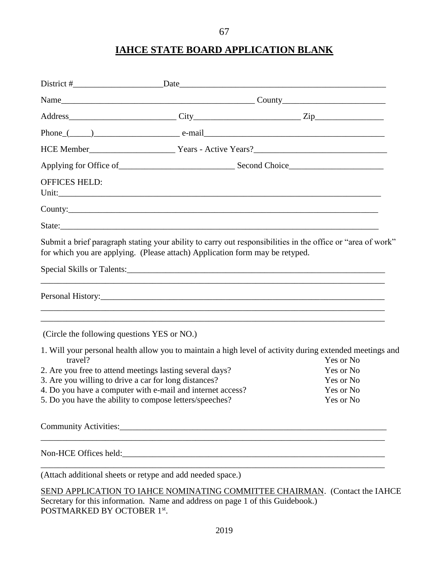# **IAHCE STATE BOARD APPLICATION BLANK**

| <b>OFFICES HELD:</b>                                                                                                                                                                        |                                                                         |                                                                                   |                        |  |
|---------------------------------------------------------------------------------------------------------------------------------------------------------------------------------------------|-------------------------------------------------------------------------|-----------------------------------------------------------------------------------|------------------------|--|
|                                                                                                                                                                                             |                                                                         |                                                                                   |                        |  |
|                                                                                                                                                                                             |                                                                         |                                                                                   |                        |  |
| Submit a brief paragraph stating your ability to carry out responsibilities in the office or "area of work"<br>for which you are applying. (Please attach) Application form may be retyped. |                                                                         |                                                                                   |                        |  |
|                                                                                                                                                                                             |                                                                         |                                                                                   |                        |  |
|                                                                                                                                                                                             |                                                                         | ,我们也不能在这里的时候,我们也不能在这里的时候,我们也不能会在这里的时候,我们也不能会在这里的时候,我们也不能会在这里的时候,我们也不能会在这里的时候,我们也不 |                        |  |
| (Circle the following questions YES or NO.)                                                                                                                                                 |                                                                         |                                                                                   |                        |  |
| 1. Will your personal health allow you to maintain a high level of activity during extended meetings and                                                                                    |                                                                         |                                                                                   |                        |  |
| travel?<br>2. Are you free to attend meetings lasting several days?                                                                                                                         |                                                                         |                                                                                   | Yes or No<br>Yes or No |  |
| 3. Are you willing to drive a car for long distances?                                                                                                                                       |                                                                         |                                                                                   | Yes or No              |  |
|                                                                                                                                                                                             | 4. Do you have a computer with e-mail and internet access?<br>Yes or No |                                                                                   |                        |  |
| 5. Do you have the ability to compose letters/speeches?                                                                                                                                     |                                                                         |                                                                                   | Yes or No              |  |
|                                                                                                                                                                                             |                                                                         |                                                                                   |                        |  |
|                                                                                                                                                                                             |                                                                         |                                                                                   |                        |  |
| (Attach additional sheets or retype and add needed space.)                                                                                                                                  |                                                                         |                                                                                   |                        |  |
| SEND APPLICATION TO IAHCE NOMINATING COMMITTEE CHAIRMAN. (Contact the IAHCE<br>Secretary for this information. Name and address on page 1 of this Guidebook.)                               |                                                                         |                                                                                   |                        |  |

POSTMARKED BY OCTOBER 1<sup>st</sup>.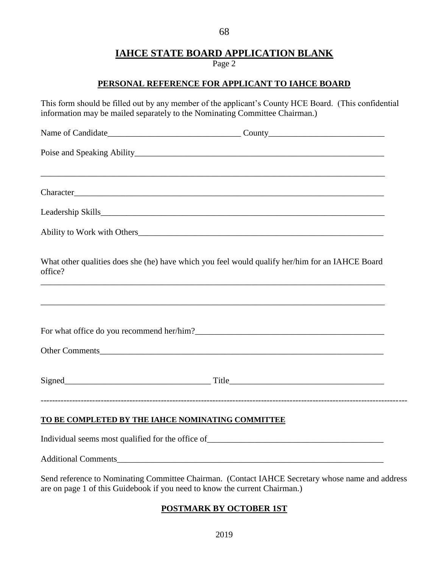# **IAHCE STATE BOARD APPLICATION BLANK**

Page 2

### **PERSONAL REFERENCE FOR APPLICANT TO IAHCE BOARD**

This form should be filled out by any member of the applicant's County HCE Board. (This confidential information may be mailed separately to the Nominating Committee Chairman.)

| office?                                           | What other qualities does she (he) have which you feel would qualify her/him for an IAHCE Board  |
|---------------------------------------------------|--------------------------------------------------------------------------------------------------|
|                                                   |                                                                                                  |
|                                                   |                                                                                                  |
|                                                   | Other Comments                                                                                   |
|                                                   |                                                                                                  |
| TO BE COMPLETED BY THE IAHCE NOMINATING COMMITTEE |                                                                                                  |
|                                                   |                                                                                                  |
|                                                   |                                                                                                  |
|                                                   | Send reference to Nominating Committee Chairman. (Contact IAHCE Secretary whose name and address |

# are on page 1 of this Guidebook if you need to know the current Chairman.)

## **POSTMARK BY OCTOBER 1ST**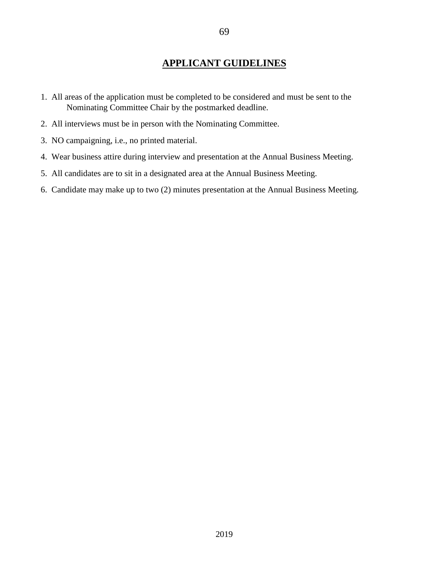## **APPLICANT GUIDELINES**

- 1. All areas of the application must be completed to be considered and must be sent to the Nominating Committee Chair by the postmarked deadline.
- 2. All interviews must be in person with the Nominating Committee.
- 3. NO campaigning, i.e., no printed material.
- 4. Wear business attire during interview and presentation at the Annual Business Meeting.
- 5. All candidates are to sit in a designated area at the Annual Business Meeting.
- 6. Candidate may make up to two (2) minutes presentation at the Annual Business Meeting.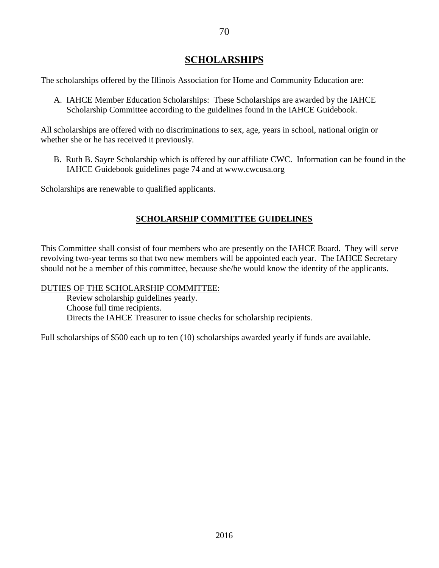### **SCHOLARSHIPS**

The scholarships offered by the Illinois Association for Home and Community Education are:

 A. IAHCE Member Education Scholarships: These Scholarships are awarded by the IAHCE Scholarship Committee according to the guidelines found in the IAHCE Guidebook.

All scholarships are offered with no discriminations to sex, age, years in school, national origin or whether she or he has received it previously.

B. Ruth B. Sayre Scholarship which is offered by our affiliate CWC. Information can be found in the IAHCE Guidebook guidelines page 74 and at www.cwcusa.org

Scholarships are renewable to qualified applicants.

### **SCHOLARSHIP COMMITTEE GUIDELINES**

This Committee shall consist of four members who are presently on the IAHCE Board. They will serve revolving two-year terms so that two new members will be appointed each year. The IAHCE Secretary should not be a member of this committee, because she/he would know the identity of the applicants.

### DUTIES OF THE SCHOLARSHIP COMMITTEE:

Review scholarship guidelines yearly. Choose full time recipients. Directs the IAHCE Treasurer to issue checks for scholarship recipients.

Full scholarships of \$500 each up to ten (10) scholarships awarded yearly if funds are available.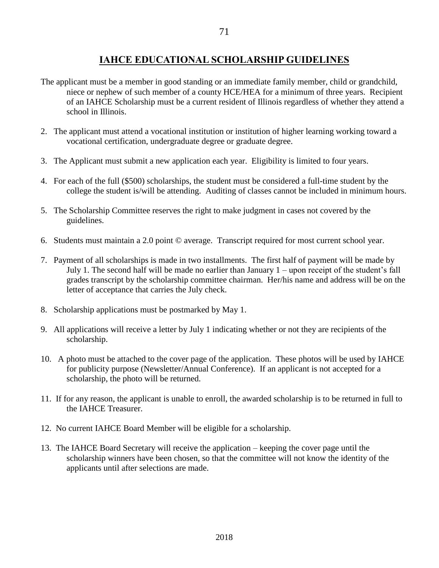## **IAHCE EDUCATIONAL SCHOLARSHIP GUIDELINES**

- The applicant must be a member in good standing or an immediate family member, child or grandchild, niece or nephew of such member of a county HCE/HEA for a minimum of three years. Recipient of an IAHCE Scholarship must be a current resident of Illinois regardless of whether they attend a school in Illinois.
- 2. The applicant must attend a vocational institution or institution of higher learning working toward a vocational certification, undergraduate degree or graduate degree.
- 3. The Applicant must submit a new application each year. Eligibility is limited to four years.
- 4. For each of the full (\$500) scholarships, the student must be considered a full-time student by the college the student is/will be attending. Auditing of classes cannot be included in minimum hours.
- 5. The Scholarship Committee reserves the right to make judgment in cases not covered by the guidelines.
- 6. Students must maintain a 2.0 point © average. Transcript required for most current school year.
- 7. Payment of all scholarships is made in two installments. The first half of payment will be made by July 1. The second half will be made no earlier than January 1 – upon receipt of the student's fall grades transcript by the scholarship committee chairman. Her/his name and address will be on the letter of acceptance that carries the July check.
- 8. Scholarship applications must be postmarked by May 1.
- 9. All applications will receive a letter by July 1 indicating whether or not they are recipients of the scholarship.
- 10. A photo must be attached to the cover page of the application. These photos will be used by IAHCE for publicity purpose (Newsletter/Annual Conference). If an applicant is not accepted for a scholarship, the photo will be returned.
- 11. If for any reason, the applicant is unable to enroll, the awarded scholarship is to be returned in full to the IAHCE Treasurer.
- 12. No current IAHCE Board Member will be eligible for a scholarship.
- 13. The IAHCE Board Secretary will receive the application keeping the cover page until the scholarship winners have been chosen, so that the committee will not know the identity of the applicants until after selections are made.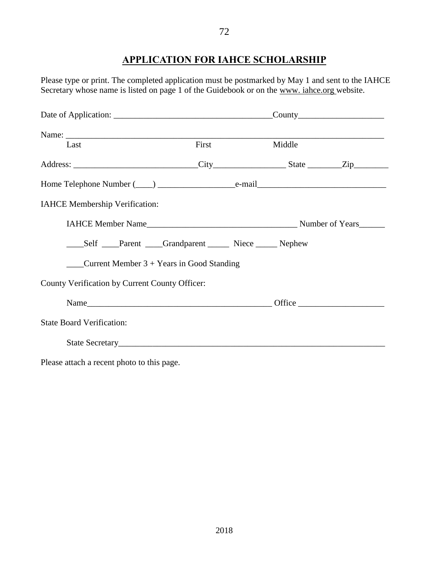## **APPLICATION FOR IAHCE SCHOLARSHIP**

Please type or print. The completed application must be postmarked by May 1 and sent to the IAHCE Secretary whose name is listed on page 1 of the Guidebook or on the www. iahce.org website.

| Last                                                    | First | Middle |  |  |
|---------------------------------------------------------|-------|--------|--|--|
|                                                         |       |        |  |  |
|                                                         |       |        |  |  |
| IAHCE Membership Verification:                          |       |        |  |  |
|                                                         |       |        |  |  |
|                                                         |       |        |  |  |
| $\frac{1}{2}$ Current Member 3 + Years in Good Standing |       |        |  |  |
| County Verification by Current County Officer:          |       |        |  |  |
|                                                         |       |        |  |  |
| <b>State Board Verification:</b>                        |       |        |  |  |
| State Secretary                                         |       |        |  |  |

Please attach a recent photo to this page.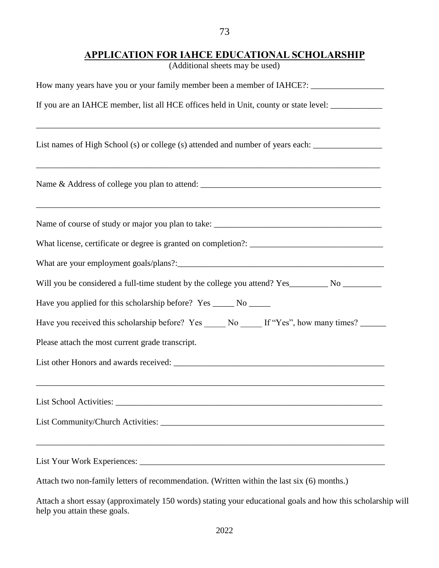# **APPLICATION FOR IAHCE EDUCATIONAL SCHOLARSHIP**

73

(Additional sheets may be used)

| How many years have you or your family member been a member of IAHCE?: _____________________________ |  |  |  |  |
|------------------------------------------------------------------------------------------------------|--|--|--|--|
| If you are an IAHCE member, list all HCE offices held in Unit, county or state level: _____________  |  |  |  |  |
| List names of High School (s) or college (s) attended and number of years each: ____________________ |  |  |  |  |
| ,我们也不能在这里的人,我们也不能在这里的人,我们也不能在这里的人,我们也不能在这里的人,我们也不能在这里的人,我们也不能在这里的人,我们也不能在这里的人,我们也                    |  |  |  |  |
|                                                                                                      |  |  |  |  |
|                                                                                                      |  |  |  |  |
|                                                                                                      |  |  |  |  |
| Will you be considered a full-time student by the college you attend? Yes________ No _________       |  |  |  |  |
| Have you applied for this scholarship before? Yes ______ No ______                                   |  |  |  |  |
| Have you received this scholarship before? Yes ______ No _____ If "Yes", how many times? ______      |  |  |  |  |
| Please attach the most current grade transcript.                                                     |  |  |  |  |
|                                                                                                      |  |  |  |  |
|                                                                                                      |  |  |  |  |
|                                                                                                      |  |  |  |  |
|                                                                                                      |  |  |  |  |
| Attach two non-family letters of recommendation. (Written within the last six (6) months.)           |  |  |  |  |

Attach a short essay (approximately 150 words) stating your educational goals and how this scholarship will help you attain these goals.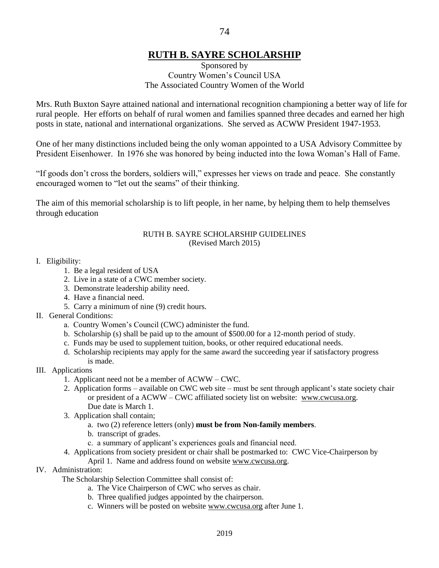# **RUTH B. SAYRE SCHOLARSHIP**

### Sponsored by Country Women's Council USA The Associated Country Women of the World

Mrs. Ruth Buxton Sayre attained national and international recognition championing a better way of life for rural people. Her efforts on behalf of rural women and families spanned three decades and earned her high posts in state, national and international organizations. She served as ACWW President 1947-1953.

One of her many distinctions included being the only woman appointed to a USA Advisory Committee by President Eisenhower. In 1976 she was honored by being inducted into the Iowa Woman's Hall of Fame.

"If goods don't cross the borders, soldiers will," expresses her views on trade and peace. She constantly encouraged women to "let out the seams" of their thinking.

The aim of this memorial scholarship is to lift people, in her name, by helping them to help themselves through education

#### RUTH B. SAYRE SCHOLARSHIP GUIDELINES (Revised March 2015)

#### I. Eligibility:

- 1. Be a legal resident of USA
- 2. Live in a state of a CWC member society.
- 3. Demonstrate leadership ability need.
- 4. Have a financial need.
- 5. Carry a minimum of nine (9) credit hours.
- II. General Conditions:
	- a. Country Women's Council (CWC) administer the fund.
	- b. Scholarship (s) shall be paid up to the amount of \$500.00 for a 12-month period of study.
	- c. Funds may be used to supplement tuition, books, or other required educational needs.
	- d. Scholarship recipients may apply for the same award the succeeding year if satisfactory progress is made.
- III. Applications
	- 1. Applicant need not be a member of ACWW CWC.
	- 2. Application forms available on CWC web site must be sent through applicant's state society chair or president of a ACWW – CWC affiliated society list on website: [www.cwcusa.org.](http://www.cwcusa.org/) Due date is March 1.
	- 3. Application shall contain;
		- a. two (2) reference letters (only) **must be from Non-family members**.
		- b. transcript of grades.
		- c. a summary of applicant's experiences goals and financial need.
	- 4. Applications from society president or chair shall be postmarked to: CWC Vice-Chairperson by
		- April 1. Name and address found on website [www.cwcusa.org.](http://www.cwcusa.org/)
- IV. Administration:

The Scholarship Selection Committee shall consist of:

- a. The Vice Chairperson of CWC who serves as chair.
- b. Three qualified judges appointed by the chairperson.
- c. Winners will be posted on website [www.cwcusa.org](http://www.cwcusa.org/) after June 1.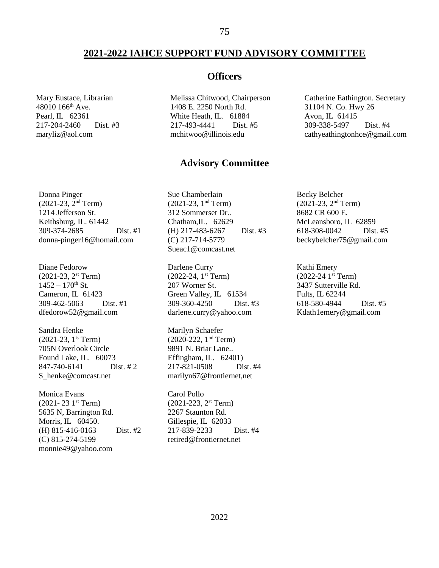### **2021-2022 IAHCE SUPPORT FUND ADVISORY COMMITTEE**

Mary Eustace, Librarian 48010 166<sup>th</sup> Ave. Pearl, IL 62361 217-204-2460 Dist. #3 maryliz@aol.com

### **Officers**

Melissa Chitwood, Chairperson 1408 E. 2250 North Rd. White Heath, IL. 61884 217-493-4441 Dist. #5 [mchitwoo@illinois.edu](mailto:bvcombs@gmail.com)

Catherine Eathington. Secretary 31104 N. Co. Hwy 26 Avon, IL 61415 309-338-5497 Dist. #4 cathyeathingtonhce@gmail.com

### **Advisory Committee**

Donna Pinger (2021-23, 2nd Term) 1214 Jefferson St. Keithsburg, IL. 61442 309-374-2685 Dist. #1 donna-pinger16@homail.com

Diane Fedorow  $(2021-23, 2<sup>st</sup> Term)$  $1452 - 170$ <sup>th</sup> St. Cameron, IL 61423 309-462-5063 Dist. #1 dfedorow52@gmail.com

Sandra Henke  $(2021-23, 1^{\text{is}}$  Term) 705N Overlook Circle Found Lake, IL. 60073 847-740-6141 Dist. # 2 [S\\_henke@comcast.net](mailto:S_henke@comcast.net)

Monica Evans  $(2021 - 23 \t1<sup>st</sup> Term)$ 5635 N, Barrington Rd. Morris, IL 60450. (H) 815-416-0163 Dist. #2 (C) 815-274-5199 monnie49@yahoo.com

Sue Chamberlain  $(2021-23, 1<sup>nd</sup> Term)$ 312 Sommerset Dr.. Chatham,IL. 62629 (H) 217-483-6267 Dist. #3 (C) 217-714-5779 Sueac1@comcast.net

Darlene Curry (2022-24, 1 st Term) 207 Worner St. Green Valley, IL 61534 309-360-4250 Dist. #3 [darlene.curry@yahoo.com](mailto:darlene.curry@yahoo.com)

Marilyn Schaefer  $(2020-222, 1<sup>nd</sup> Term)$ 9891 N. Briar Lane.. Effingham, IL. 62401) 217-821-0508 Dist. #4 marilyn67@frontiernet,net

Carol Pollo (2021-223, 2 st Term) 2267 Staunton Rd. Gillespie, IL 62033 217-839-2233 Dist. #4 retired@frontiernet.net

Becky Belcher (2021-23, 2nd Term) 8682 CR 600 E. McLeansboro, IL 62859 618-308-0042 Dist. #5 beckybelcher75@gmail.com

Kathi Emery  $(2022-24 \; 1<sup>st</sup> Term)$ 3437 Sutterville Rd. Fults, IL 62244 618-580-4944 Dist. #5 Kdath1emery@gmail.com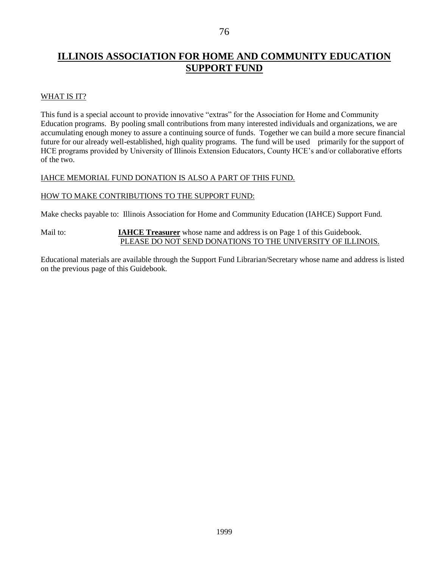# **ILLINOIS ASSOCIATION FOR HOME AND COMMUNITY EDUCATION SUPPORT FUND**

### WHAT IS IT?

This fund is a special account to provide innovative "extras" for the Association for Home and Community Education programs. By pooling small contributions from many interested individuals and organizations, we are accumulating enough money to assure a continuing source of funds. Together we can build a more secure financial future for our already well-established, high quality programs. The fund will be used primarily for the support of HCE programs provided by University of Illinois Extension Educators, County HCE's and/or collaborative efforts of the two.

### IAHCE MEMORIAL FUND DONATION IS ALSO A PART OF THIS FUND.

#### HOW TO MAKE CONTRIBUTIONS TO THE SUPPORT FUND:

Make checks payable to: Illinois Association for Home and Community Education (IAHCE) Support Fund.

#### Mail to: **IAHCE Treasurer** whose name and address is on Page 1 of this Guidebook. PLEASE DO NOT SEND DONATIONS TO THE UNIVERSITY OF ILLINOIS.

Educational materials are available through the Support Fund Librarian/Secretary whose name and address is listed on the previous page of this Guidebook.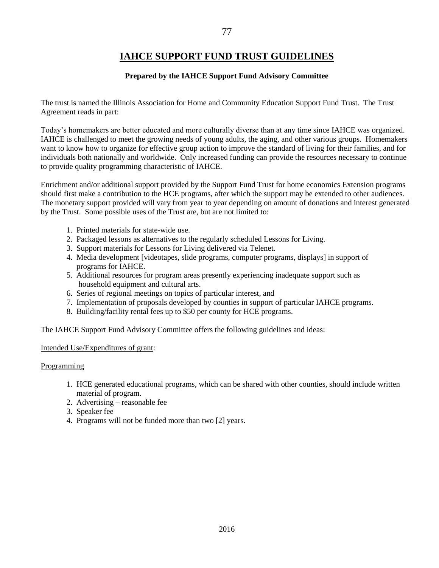# **IAHCE SUPPORT FUND TRUST GUIDELINES**

### **Prepared by the IAHCE Support Fund Advisory Committee**

The trust is named the Illinois Association for Home and Community Education Support Fund Trust. The Trust Agreement reads in part:

Today's homemakers are better educated and more culturally diverse than at any time since IAHCE was organized. IAHCE is challenged to meet the growing needs of young adults, the aging, and other various groups. Homemakers want to know how to organize for effective group action to improve the standard of living for their families, and for individuals both nationally and worldwide. Only increased funding can provide the resources necessary to continue to provide quality programming characteristic of IAHCE.

Enrichment and/or additional support provided by the Support Fund Trust for home economics Extension programs should first make a contribution to the HCE programs, after which the support may be extended to other audiences. The monetary support provided will vary from year to year depending on amount of donations and interest generated by the Trust. Some possible uses of the Trust are, but are not limited to:

- 1. Printed materials for state-wide use.
- 2. Packaged lessons as alternatives to the regularly scheduled Lessons for Living.
- 3. Support materials for Lessons for Living delivered via Telenet.
- 4. Media development [videotapes, slide programs, computer programs, displays] in support of programs for IAHCE.
- 5. Additional resources for program areas presently experiencing inadequate support such as household equipment and cultural arts.
- 6. Series of regional meetings on topics of particular interest, and
- 7. Implementation of proposals developed by counties in support of particular IAHCE programs.
- 8. Building/facility rental fees up to \$50 per county for HCE programs.

The IAHCE Support Fund Advisory Committee offers the following guidelines and ideas:

#### Intended Use/Expenditures of grant:

#### Programming

- 1. HCE generated educational programs, which can be shared with other counties, should include written material of program.
- 2. Advertising reasonable fee
- 3. Speaker fee
- 4. Programs will not be funded more than two [2] years.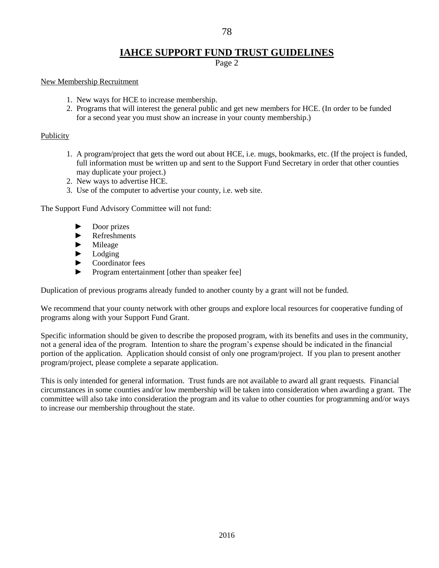# **IAHCE SUPPORT FUND TRUST GUIDELINES**

Page 2

#### New Membership Recruitment

- 1. New ways for HCE to increase membership.
- 2. Programs that will interest the general public and get new members for HCE. (In order to be funded for a second year you must show an increase in your county membership.)

### Publicity

- 1. A program/project that gets the word out about HCE, i.e. mugs, bookmarks, etc. (If the project is funded, full information must be written up and sent to the Support Fund Secretary in order that other counties may duplicate your project.)
- 2. New ways to advertise HCE.
- 3. Use of the computer to advertise your county, i.e. web site.

The Support Fund Advisory Committee will not fund:

- ► Door prizes
- ► Refreshments
- ► Mileage
- ► Lodging
- ► Coordinator fees
- ► Program entertainment [other than speaker fee]

Duplication of previous programs already funded to another county by a grant will not be funded.

We recommend that your county network with other groups and explore local resources for cooperative funding of programs along with your Support Fund Grant.

Specific information should be given to describe the proposed program, with its benefits and uses in the community, not a general idea of the program. Intention to share the program's expense should be indicated in the financial portion of the application. Application should consist of only one program/project. If you plan to present another program/project, please complete a separate application.

This is only intended for general information. Trust funds are not available to award all grant requests. Financial circumstances in some counties and/or low membership will be taken into consideration when awarding a grant. The committee will also take into consideration the program and its value to other counties for programming and/or ways to increase our membership throughout the state.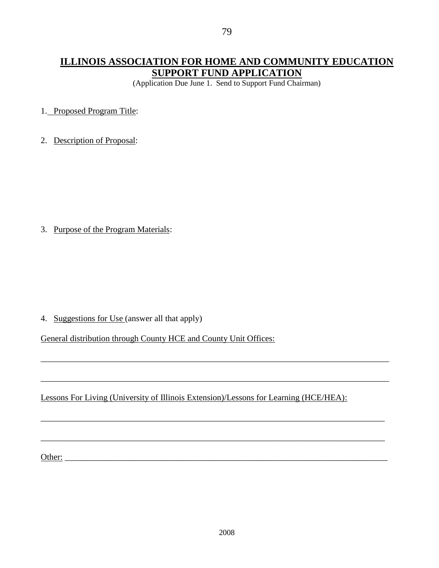(Application Due June 1. Send to Support Fund Chairman)

1. Proposed Program Title:

2. Description of Proposal:

3. Purpose of the Program Materials:

4. Suggestions for Use (answer all that apply)

General distribution through County HCE and County Unit Offices:

Lessons For Living (University of Illinois Extension)/Lessons for Learning (HCE/HEA):

\_\_\_\_\_\_\_\_\_\_\_\_\_\_\_\_\_\_\_\_\_\_\_\_\_\_\_\_\_\_\_\_\_\_\_\_\_\_\_\_\_\_\_\_\_\_\_\_\_\_\_\_\_\_\_\_\_\_\_\_\_\_\_\_\_\_\_\_\_\_\_\_\_\_\_\_\_\_\_\_\_

\_\_\_\_\_\_\_\_\_\_\_\_\_\_\_\_\_\_\_\_\_\_\_\_\_\_\_\_\_\_\_\_\_\_\_\_\_\_\_\_\_\_\_\_\_\_\_\_\_\_\_\_\_\_\_\_\_\_\_\_\_\_\_\_\_\_\_\_\_\_\_\_\_\_\_\_\_\_\_\_\_

\_\_\_\_\_\_\_\_\_\_\_\_\_\_\_\_\_\_\_\_\_\_\_\_\_\_\_\_\_\_\_\_\_\_\_\_\_\_\_\_\_\_\_\_\_\_\_\_\_\_\_\_\_\_\_\_\_\_\_\_\_\_\_\_\_\_\_\_\_\_\_\_\_\_\_\_\_\_\_\_

\_\_\_\_\_\_\_\_\_\_\_\_\_\_\_\_\_\_\_\_\_\_\_\_\_\_\_\_\_\_\_\_\_\_\_\_\_\_\_\_\_\_\_\_\_\_\_\_\_\_\_\_\_\_\_\_\_\_\_\_\_\_\_\_\_\_\_\_\_\_\_\_\_\_\_\_\_\_\_\_

Other: \_\_\_\_\_\_\_\_\_\_\_\_\_\_\_\_\_\_\_\_\_\_\_\_\_\_\_\_\_\_\_\_\_\_\_\_\_\_\_\_\_\_\_\_\_\_\_\_\_\_\_\_\_\_\_\_\_\_\_\_\_\_\_\_\_\_\_\_\_\_\_\_\_\_\_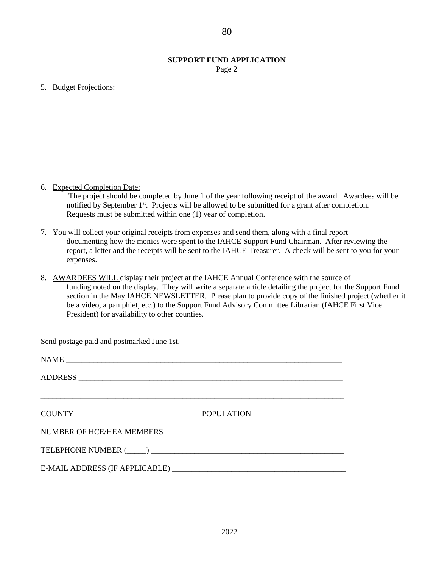### **SUPPORT FUND APPLICATION**

Page 2

5. Budget Projections:

6. Expected Completion Date:

 The project should be completed by June 1 of the year following receipt of the award. Awardees will be notified by September 1<sup>st</sup>. Projects will be allowed to be submitted for a grant after completion. Requests must be submitted within one (1) year of completion.

- 7. You will collect your original receipts from expenses and send them, along with a final report documenting how the monies were spent to the IAHCE Support Fund Chairman. After reviewing the report, a letter and the receipts will be sent to the IAHCE Treasurer. A check will be sent to you for your expenses.
- 8. AWARDEES WILL display their project at the IAHCE Annual Conference with the source of funding noted on the display. They will write a separate article detailing the project for the Support Fund section in the May IAHCE NEWSLETTER. Please plan to provide copy of the finished project (whether it be a video, a pamphlet, etc.) to the Support Fund Advisory Committee Librarian (IAHCE First Vice President) for availability to other counties.

Send postage paid and postmarked June 1st.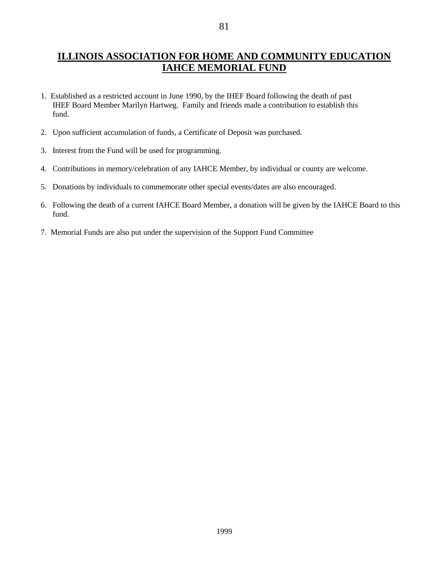## **ILLINOIS ASSOCIATION FOR HOME AND COMMUNITY EDUCATION IAHCE MEMORIAL FUND**

- 1. Established as a restricted account in June 1990, by the IHEF Board following the death of past IHEF Board Member Marilyn Hartweg. Family and friends made a contribution to establish this fund.
- 2. Upon sufficient accumulation of funds, a Certificate of Deposit was purchased.
- 3. Interest from the Fund will be used for programming.
- 4. Contributions in memory/celebration of any IAHCE Member, by individual or county are welcome.
- 5. Donations by individuals to commemorate other special events/dates are also encouraged.
- 6. Following the death of a current IAHCE Board Member, a donation will be given by the IAHCE Board to this fund.
- 7. Memorial Funds are also put under the supervision of the Support Fund Committee